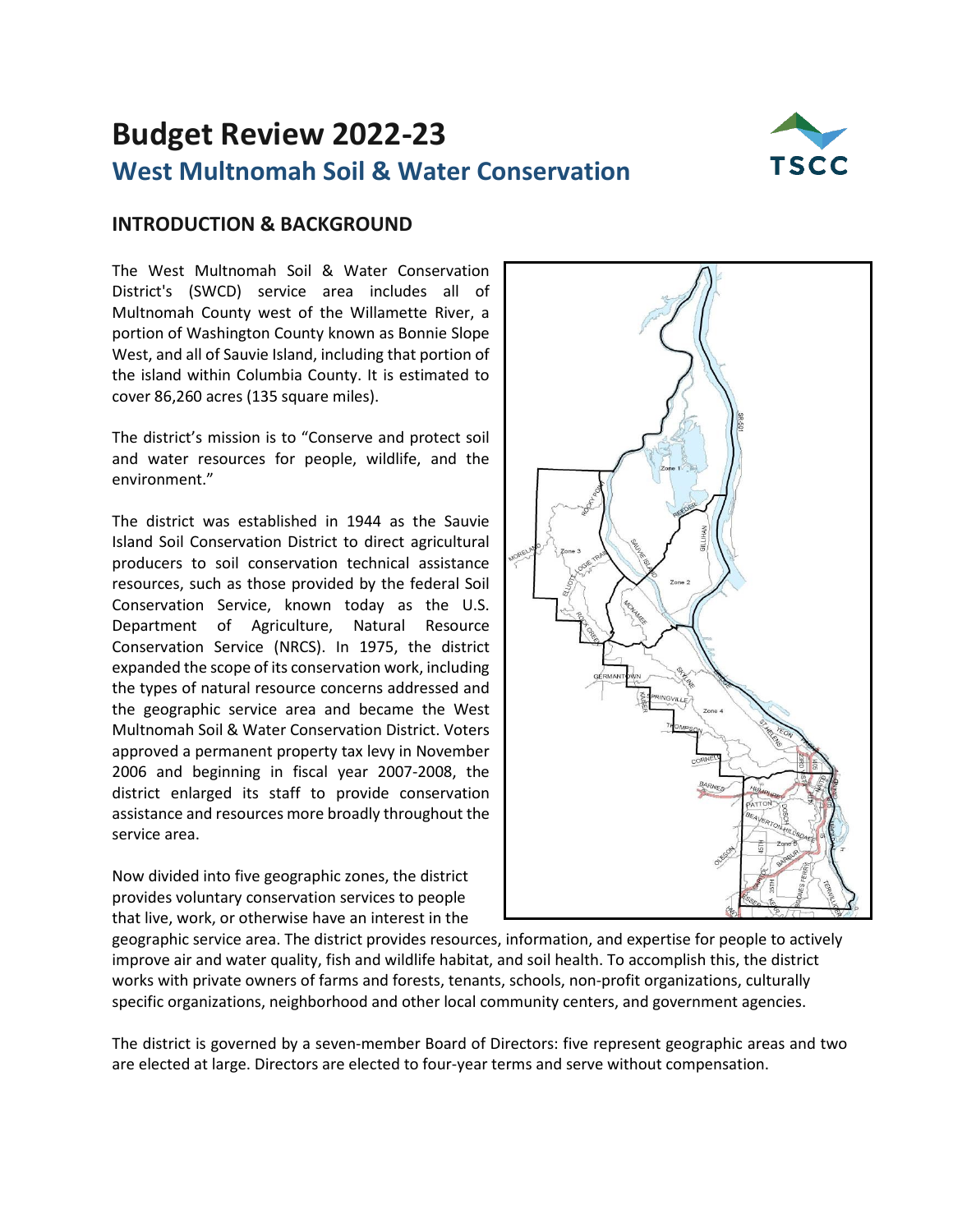# **Budget Review 2022-23 West Multnomah Soil & Water Conservation**



# **INTRODUCTION & BACKGROUND**

The West Multnomah Soil & Water Conservation District's (SWCD) service area includes all of Multnomah County west of the Willamette River, a portion of Washington County known as Bonnie Slope West, and all of Sauvie Island, including that portion of the island within Columbia County. It is estimated to cover 86,260 acres (135 square miles).

The district's mission is to "Conserve and protect soil and water resources for people, wildlife, and the environment."

The district was established in 1944 as the Sauvie Island Soil Conservation District to direct agricultural producers to soil conservation technical assistance resources, such as those provided by the federal Soil Conservation Service, known today as the U.S. Department of Agriculture, Natural Resource Conservation Service (NRCS). In 1975, the district expanded the scope of its conservation work, including the types of natural resource concerns addressed and the geographic service area and became the West Multnomah Soil & Water Conservation District. Voters approved a permanent property tax levy in November 2006 and beginning in fiscal year 2007-2008, the district enlarged its staff to provide conservation assistance and resources more broadly throughout the service area.

Now divided into five geographic zones, the district provides voluntary conservation services to people that live, work, or otherwise have an interest in the



geographic service area. The district provides resources, information, and expertise for people to actively improve air and water quality, fish and wildlife habitat, and soil health. To accomplish this, the district works with private owners of farms and forests, tenants, schools, non-profit organizations, culturally specific organizations, neighborhood and other local community centers, and government agencies.

The district is governed by a seven-member Board of Directors: five represent geographic areas and two are elected at large. Directors are elected to four-year terms and serve without compensation.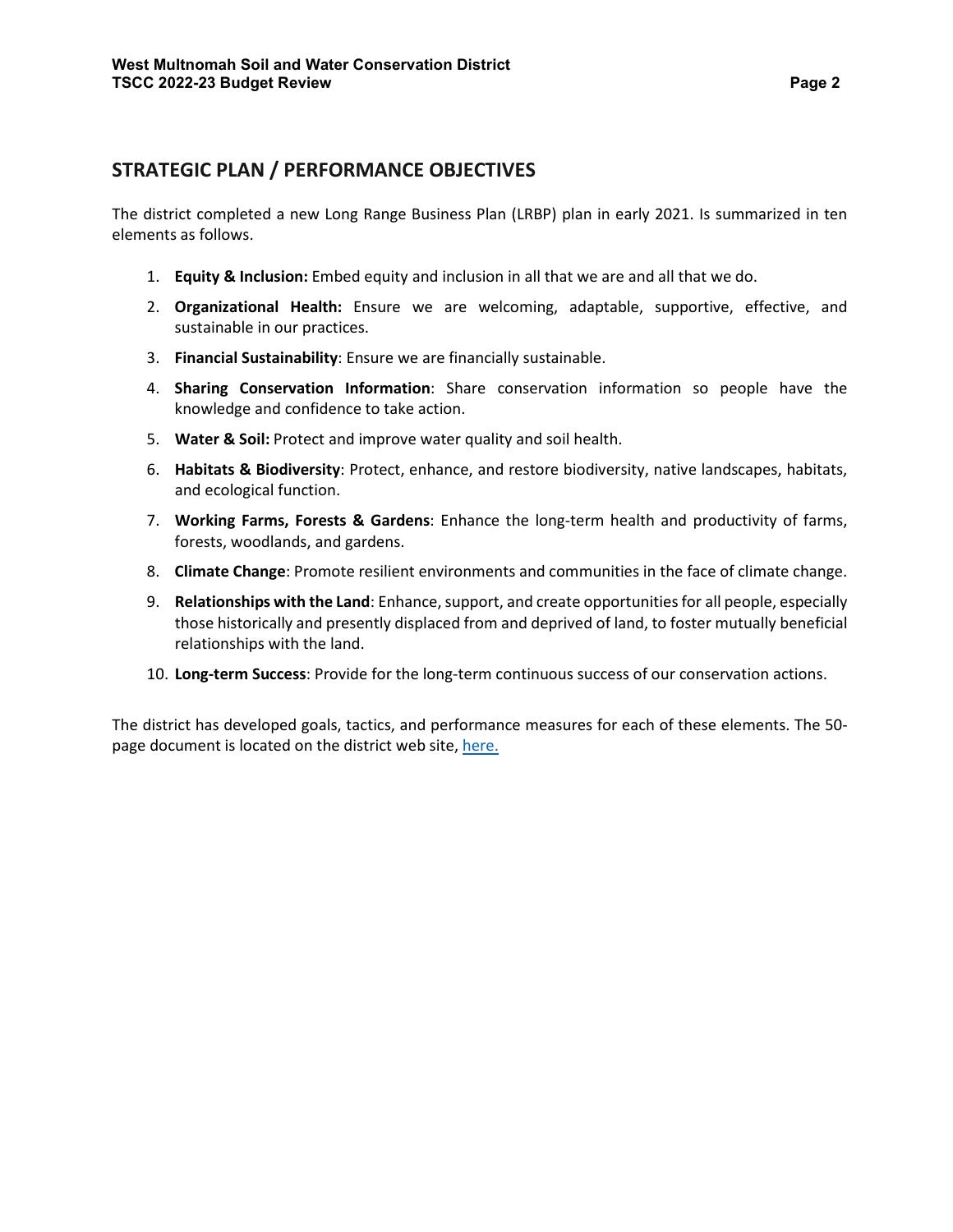### **STRATEGIC PLAN / PERFORMANCE OBJECTIVES**

The district completed a new Long Range Business Plan (LRBP) plan in early 2021. Is summarized in ten elements as follows.

- 1. **Equity & Inclusion:** Embed equity and inclusion in all that we are and all that we do.
- 2. **Organizational Health:** Ensure we are welcoming, adaptable, supportive, effective, and sustainable in our practices.
- 3. **Financial Sustainability**: Ensure we are financially sustainable.
- 4. **Sharing Conservation Information**: Share conservation information so people have the knowledge and confidence to take action.
- 5. **Water & Soil:** Protect and improve water quality and soil health.
- 6. **Habitats & Biodiversity**: Protect, enhance, and restore biodiversity, native landscapes, habitats, and ecological function.
- 7. **Working Farms, Forests & Gardens**: Enhance the long-term health and productivity of farms, forests, woodlands, and gardens.
- 8. **Climate Change**: Promote resilient environments and communities in the face of climate change.
- 9. **Relationships with the Land**: Enhance, support, and create opportunities for all people, especially those historically and presently displaced from and deprived of land, to foster mutually beneficial relationships with the land.
- 10. **Long-term Success**: Provide for the long-term continuous success of our conservation actions.

The district has developed goals, tactics, and performance measures for each of these elements. The 50 page document is located on the district web site, [here.](https://wmswcd.org/wp-content/uploads/2021/04/LRBP__WMSWCD-2021-2025-EXTERNAL-REVIEW-DRAFT_FINAL.pdf)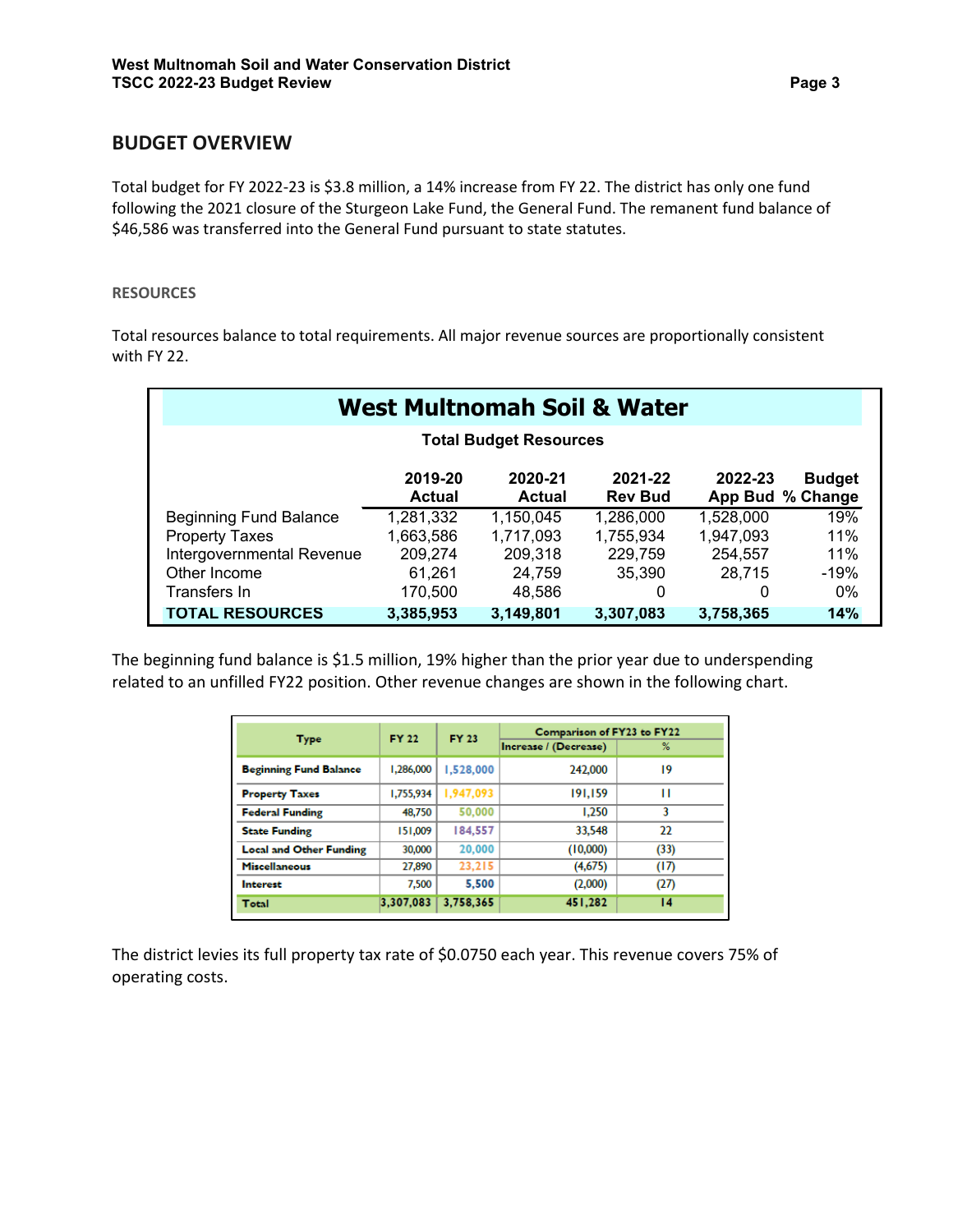### **BUDGET OVERVIEW**

Total budget for FY 2022-23 is \$3.8 million, a 14% increase from FY 22. The district has only one fund following the 2021 closure of the Sturgeon Lake Fund, the General Fund. The remanent fund balance of \$46,586 was transferred into the General Fund pursuant to state statutes.

#### **RESOURCES**

Total resources balance to total requirements. All major revenue sources are proportionally consistent with FY 22.

|                               |                   |                               | <b>West Multnomah Soil &amp; Water</b> |           |                                   |
|-------------------------------|-------------------|-------------------------------|----------------------------------------|-----------|-----------------------------------|
|                               |                   | <b>Total Budget Resources</b> |                                        |           |                                   |
|                               | 2019-20<br>Actual | 2020-21<br>Actual             | 2021-22<br><b>Rev Bud</b>              | 2022-23   | <b>Budget</b><br>App Bud % Change |
| <b>Beginning Fund Balance</b> | 1,281,332         | 1,150,045                     | 1,286,000                              | 1,528,000 | 19%                               |
| <b>Property Taxes</b>         | 1,663,586         | 1,717,093                     | 1,755,934                              | 1,947,093 | 11%                               |
| Intergovernmental Revenue     | 209,274           | 209,318                       | 229,759                                | 254,557   | 11%                               |
| Other Income                  | 61,261            | 24,759                        | 35,390                                 | 28,715    | $-19%$                            |
| Transfers In                  | 170,500           | 48,586                        | 0                                      |           | 0%                                |
| <b>TOTAL RESOURCES</b>        | 3,385,953         | 3,149,801                     | 3,307,083                              | 3,758,365 | 14%                               |

The beginning fund balance is \$1.5 million, 19% higher than the prior year due to underspending related to an unfilled FY22 position. Other revenue changes are shown in the following chart.

| <b>Type</b>                    | <b>FY 22</b> | <b>FY 23</b> | Comparison of FY23 to FY22 |                 |
|--------------------------------|--------------|--------------|----------------------------|-----------------|
|                                |              |              | Increase / (Decrease)      | %               |
| <b>Beginning Fund Balance</b>  | 1.286,000    | 1.528.000    | 242,000                    | 19              |
| <b>Property Taxes</b>          | 1.755.934    | 1,947,093    | 191.159                    | п               |
| <b>Federal Funding</b>         | 48,750       | 50,000       | 1.250                      | 3               |
| <b>State Funding</b>           | 151,009      | 184,557      | 33,548                     | 22              |
| <b>Local and Other Funding</b> | 30,000       | 20,000       | (10,000)                   | (33)            |
| <b>Miscellaneous</b>           | 27,890       | 23,215       | (4,675)                    | (17)            |
| Interest                       | 7.500        | 5,500        | (2,000)                    | (27)            |
| Total                          | 3,307,083    | 3,758,365    | 451.282                    | $\overline{14}$ |

The district levies its full property tax rate of \$0.0750 each year. This revenue covers 75% of operating costs.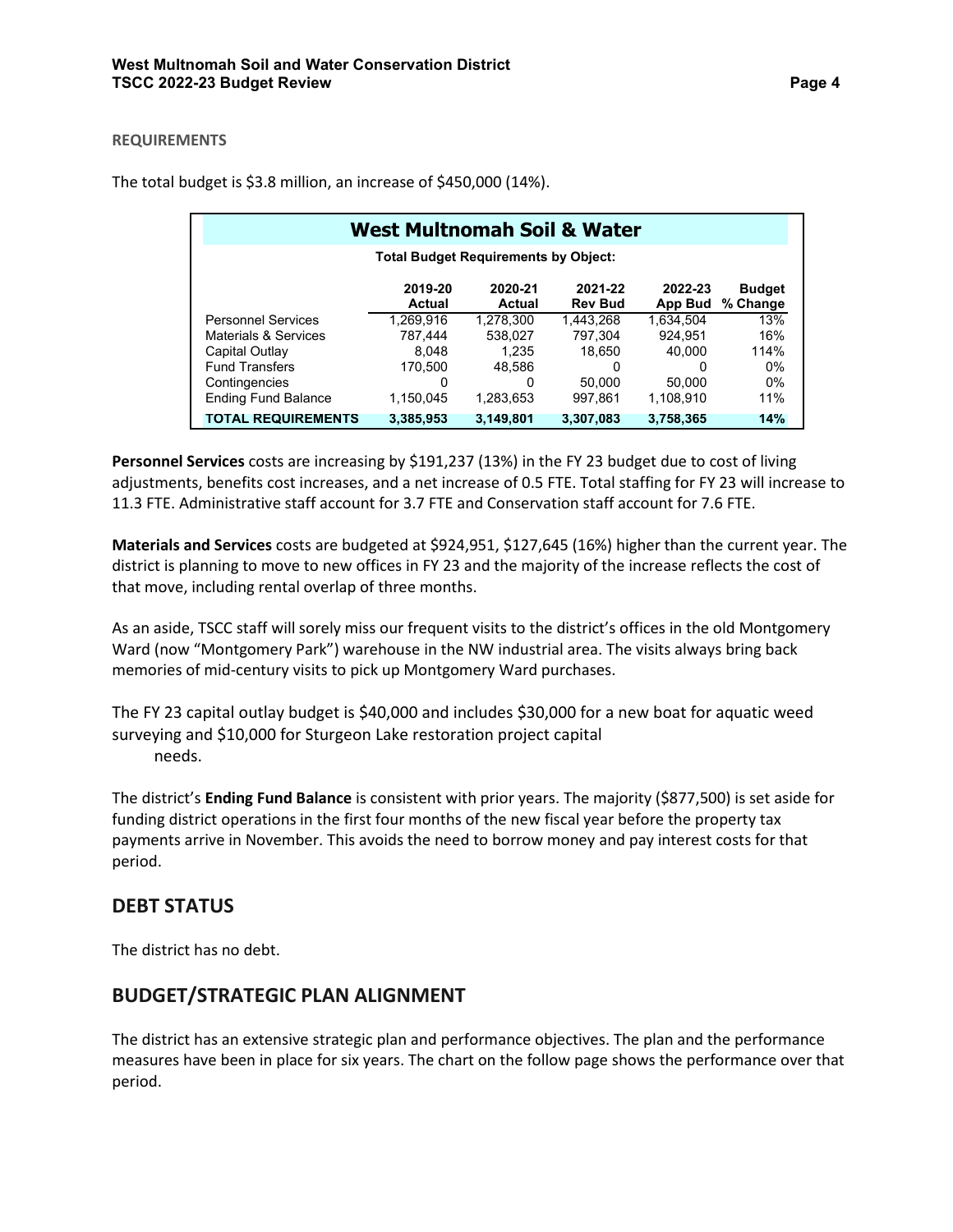#### **REQUIREMENTS**

|                            | <b>West Multnomah Soil &amp; Water</b>      |                   |                           |                    |                           |
|----------------------------|---------------------------------------------|-------------------|---------------------------|--------------------|---------------------------|
|                            | <b>Total Budget Requirements by Object:</b> |                   |                           |                    |                           |
|                            | 2019-20<br>Actual                           | 2020-21<br>Actual | 2021-22<br><b>Rev Bud</b> | 2022-23<br>App Bud | <b>Budget</b><br>% Change |
| <b>Personnel Services</b>  | 1.269.916                                   | 1.278.300         | 1.443.268                 | 1.634.504          | 13%                       |
| Materials & Services       | 787.444                                     | 538.027           | 797.304                   | 924.951            | 16%                       |
| Capital Outlay             | 8.048                                       | 1.235             | 18.650                    | 40.000             | 114%                      |
| <b>Fund Transfers</b>      | 170.500                                     | 48.586            | 0                         | O                  | 0%                        |
| Contingencies              | 0                                           | 0                 | 50.000                    | 50.000             | 0%                        |
| <b>Ending Fund Balance</b> | 1.150.045                                   | 1.283.653         | 997.861                   | 1.108.910          | 11%                       |
| <b>TOTAL REQUIREMENTS</b>  | 3,385,953                                   | 3,149,801         | 3,307,083                 | 3,758,365          | 14%                       |

The total budget is \$3.8 million, an increase of \$450,000 (14%).

**Personnel Services** costs are increasing by \$191,237 (13%) in the FY 23 budget due to cost of living adjustments, benefits cost increases, and a net increase of 0.5 FTE. Total staffing for FY 23 will increase to 11.3 FTE. Administrative staff account for 3.7 FTE and Conservation staff account for 7.6 FTE.

**Materials and Services** costs are budgeted at \$924,951, \$127,645 (16%) higher than the current year. The district is planning to move to new offices in FY 23 and the majority of the increase reflects the cost of that move, including rental overlap of three months.

As an aside, TSCC staff will sorely miss our frequent visits to the district's offices in the old Montgomery Ward (now "Montgomery Park") warehouse in the NW industrial area. The visits always bring back memories of mid-century visits to pick up Montgomery Ward purchases.

The FY 23 capital outlay budget is \$40,000 and includes \$30,000 for a new boat for aquatic weed surveying and \$10,000 for Sturgeon Lake restoration project capital needs.

The district's **Ending Fund Balance** is consistent with prior years. The majority (\$877,500) is set aside for funding district operations in the first four months of the new fiscal year before the property tax payments arrive in November. This avoids the need to borrow money and pay interest costs for that period.

# **DEBT STATUS**

The district has no debt.

# **BUDGET/STRATEGIC PLAN ALIGNMENT**

The district has an extensive strategic plan and performance objectives. The plan and the performance measures have been in place for six years. The chart on the follow page shows the performance over that period.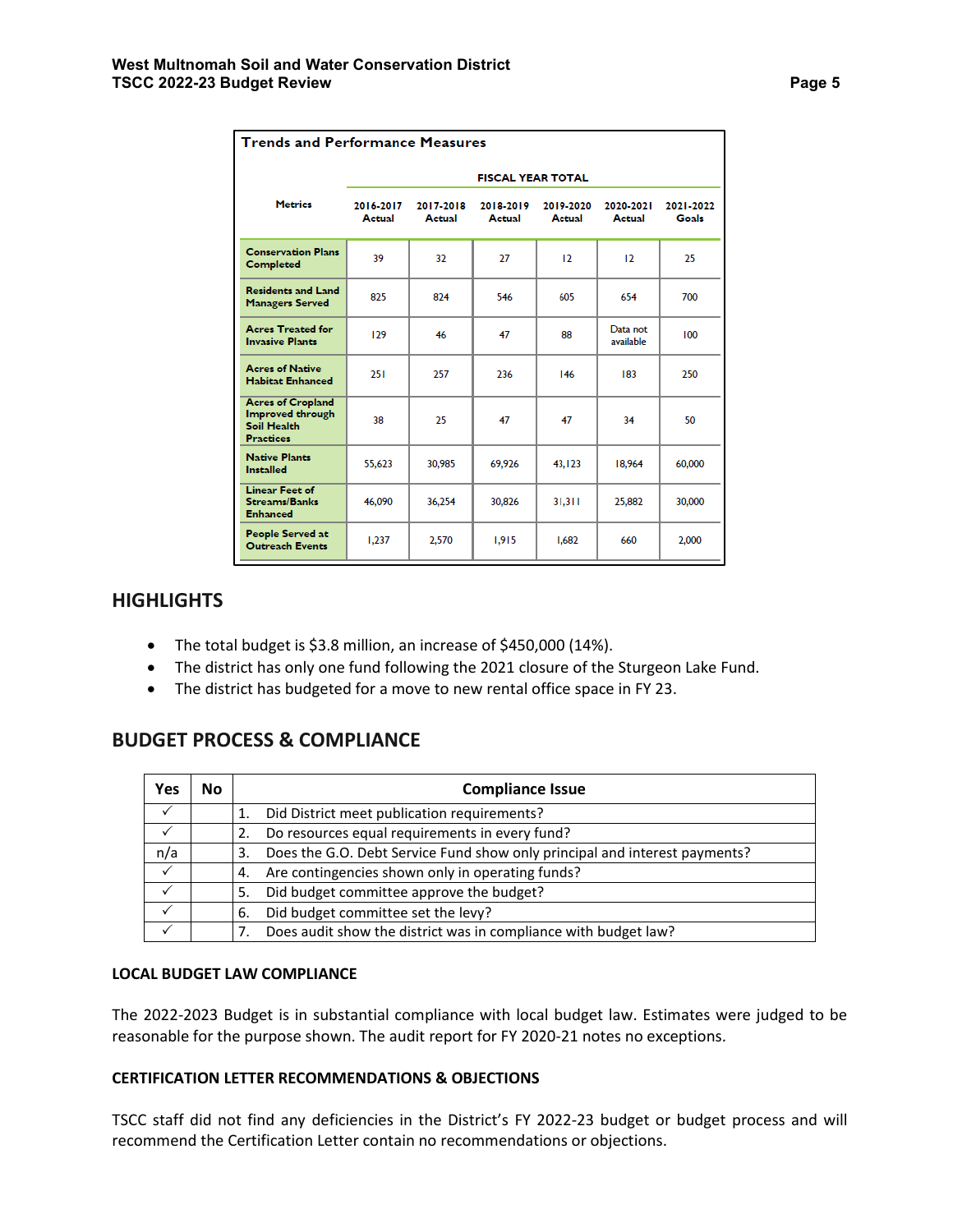| <b>Trends and Performance Measures</b>                                          |                          |                     |                     |                     |                       |                    |  |
|---------------------------------------------------------------------------------|--------------------------|---------------------|---------------------|---------------------|-----------------------|--------------------|--|
|                                                                                 | <b>FISCAL YEAR TOTAL</b> |                     |                     |                     |                       |                    |  |
| <b>Metrics</b>                                                                  | 2016-2017<br>Actual      | 2017-2018<br>Actual | 2018-2019<br>Actual | 2019-2020<br>Actual | 2020-2021<br>Actual   | 2021-2022<br>Goals |  |
| <b>Conservation Plans</b><br>Completed                                          | 39                       | 32                  | 27                  | 12                  | 12                    | 25                 |  |
| <b>Residents and Land</b><br><b>Managers Served</b>                             | 825                      | 824                 | 546                 | 605                 | 654                   | 700                |  |
| <b>Acres Treated for</b><br><b>Invasive Plants</b>                              | 129                      | 46                  | 47                  | 88                  | Data not<br>available | 100                |  |
| <b>Acres of Native</b><br><b>Habitat Enhanced</b>                               | 251                      | 257                 | 236                 | 146                 | 183                   | 250                |  |
| <b>Acres of Cropland</b><br>Improved through<br>Soil Health<br><b>Practices</b> | 38                       | 25                  | 47                  | 47                  | 34                    | 50                 |  |
| <b>Native Plants</b><br><b>Installed</b>                                        | 55,623                   | 30,985              | 69,926              | 43, 123             | 18,964                | 60,000             |  |
| <b>Linear Feet of</b><br><b>Streams/Banks</b><br><b>Enhanced</b>                | 46,090                   | 36,254              | 30,826              | 31,311              | 25,882                | 30,000             |  |
| People Served at<br><b>Outreach Events</b>                                      | 1,237                    | 2,570               | 1,915               | 1,682               | 660                   | 2,000              |  |

#### **HIGHLIGHTS**

- The total budget is \$3.8 million, an increase of \$450,000 (14%).
- The district has only one fund following the 2021 closure of the Sturgeon Lake Fund.
- The district has budgeted for a move to new rental office space in FY 23.

# **BUDGET PROCESS & COMPLIANCE**

| Yes | Νo | <b>Compliance Issue</b>                                                          |
|-----|----|----------------------------------------------------------------------------------|
|     |    | Did District meet publication requirements?                                      |
|     |    | Do resources equal requirements in every fund?                                   |
| n/a |    | Does the G.O. Debt Service Fund show only principal and interest payments?<br>3. |
|     |    | Are contingencies shown only in operating funds?<br>4.                           |
|     |    | Did budget committee approve the budget?<br>-5.                                  |
|     |    | Did budget committee set the levy?<br>6.                                         |
|     |    | Does audit show the district was in compliance with budget law?                  |

#### **LOCAL BUDGET LAW COMPLIANCE**

The 2022-2023 Budget is in substantial compliance with local budget law. Estimates were judged to be reasonable for the purpose shown. The audit report for FY 2020-21 notes no exceptions.

#### **CERTIFICATION LETTER RECOMMENDATIONS & OBJECTIONS**

TSCC staff did not find any deficiencies in the District's FY 2022-23 budget or budget process and will recommend the Certification Letter contain no recommendations or objections.